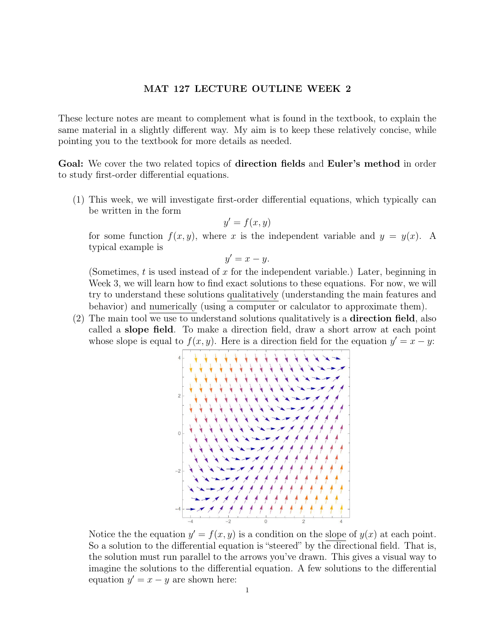## MAT 127 LECTURE OUTLINE WEEK 2

These lecture notes are meant to complement what is found in the textbook, to explain the same material in a slightly different way. My aim is to keep these relatively concise, while pointing you to the textbook for more details as needed.

Goal: We cover the two related topics of direction fields and Euler's method in order to study first-order differential equations.

(1) This week, we will investigate first-order differential equations, which typically can be written in the form

$$
y' = f(x, y)
$$

for some function  $f(x, y)$ , where x is the independent variable and  $y = y(x)$ . A typical example is

$$
y'=x-y.
$$

(Sometimes,  $t$  is used instead of  $x$  for the independent variable.) Later, beginning in Week 3, we will learn how to find exact solutions to these equations. For now, we will try to understand these solutions qualitatively (understanding the main features and behavior) and numerically (using a computer or calculator to approximate them).

(2) The main tool we use to understand solutions qualitatively is a direction field, also called a slope field. To make a direction field, draw a short arrow at each point whose slope is equal to  $f(x, y)$ . Here is a direction field for the equation  $y' = x - y$ .



Notice the the equation  $y' = f(x, y)$  is a condition on the slope of  $y(x)$  at each point. So a solution to the differential equation is "steered" by the directional field. That is, the solution must run parallel to the arrows you've drawn. This gives a visual way to imagine the solutions to the differential equation. A few solutions to the differential equation  $y' = x - y$  are shown here: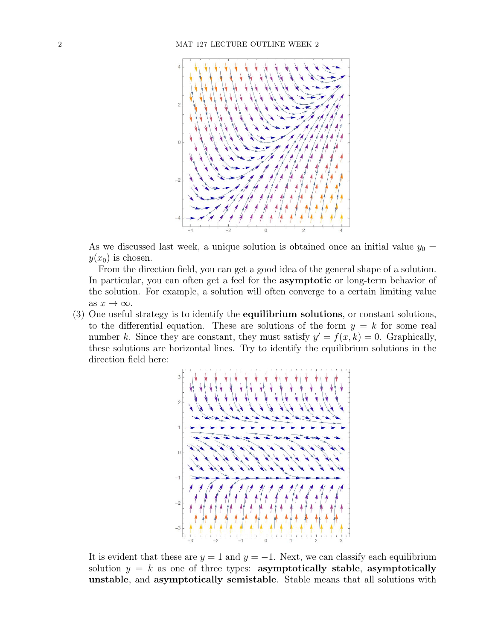

As we discussed last week, a unique solution is obtained once an initial value  $y_0 =$  $y(x_0)$  is chosen.

From the direction field, you can get a good idea of the general shape of a solution. In particular, you can often get a feel for the asymptotic or long-term behavior of the solution. For example, a solution will often converge to a certain limiting value as  $x \to \infty$ .

 $(3)$  One useful strategy is to identify the **equilibrium solutions**, or constant solutions, to the differential equation. These are solutions of the form  $y = k$  for some real number k. Since they are constant, they must satisfy  $y' = f(x, k) = 0$ . Graphically, these solutions are horizontal lines. Try to identify the equilibrium solutions in the direction field here:



It is evident that these are  $y = 1$  and  $y = -1$ . Next, we can classify each equilibrium solution  $y = k$  as one of three types: asymptotically stable, asymptotically unstable, and asymptotically semistable. Stable means that all solutions with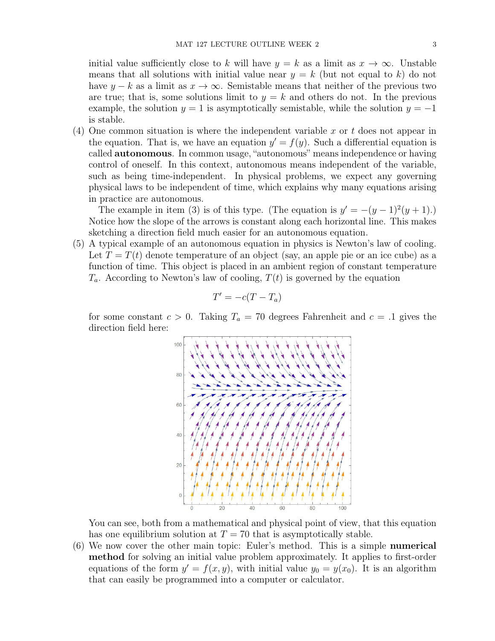initial value sufficiently close to k will have  $y = k$  as a limit as  $x \to \infty$ . Unstable means that all solutions with initial value near  $y = k$  (but not equal to k) do not have  $y - k$  as a limit as  $x \to \infty$ . Semistable means that neither of the previous two are true; that is, some solutions limit to  $y = k$  and others do not. In the previous example, the solution  $y = 1$  is asymptotically semistable, while the solution  $y = -1$ is stable.

(4) One common situation is where the independent variable x or t does not appear in the equation. That is, we have an equation  $y' = f(y)$ . Such a differential equation is called autonomous. In common usage, "autonomous" means independence or having control of oneself. In this context, autonomous means independent of the variable, such as being time-independent. In physical problems, we expect any governing physical laws to be independent of time, which explains why many equations arising in practice are autonomous.

The example in item (3) is of this type. (The equation is  $y' = -(y-1)^2(y+1)$ .) Notice how the slope of the arrows is constant along each horizontal line. This makes sketching a direction field much easier for an autonomous equation.

(5) A typical example of an autonomous equation in physics is Newton's law of cooling. Let  $T = T(t)$  denote temperature of an object (say, an apple pie or an ice cube) as a function of time. This object is placed in an ambient region of constant temperature  $T_a$ . According to Newton's law of cooling,  $T(t)$  is governed by the equation

$$
T' = -c(T - T_a)
$$

for some constant  $c > 0$ . Taking  $T_a = 70$  degrees Fahrenheit and  $c = 0.1$  gives the direction field here:



You can see, both from a mathematical and physical point of view, that this equation has one equilibrium solution at  $T = 70$  that is asymptotically stable.

(6) We now cover the other main topic: Euler's method. This is a simple numerical method for solving an initial value problem approximately. It applies to first-order equations of the form  $y' = f(x, y)$ , with initial value  $y_0 = y(x_0)$ . It is an algorithm that can easily be programmed into a computer or calculator.